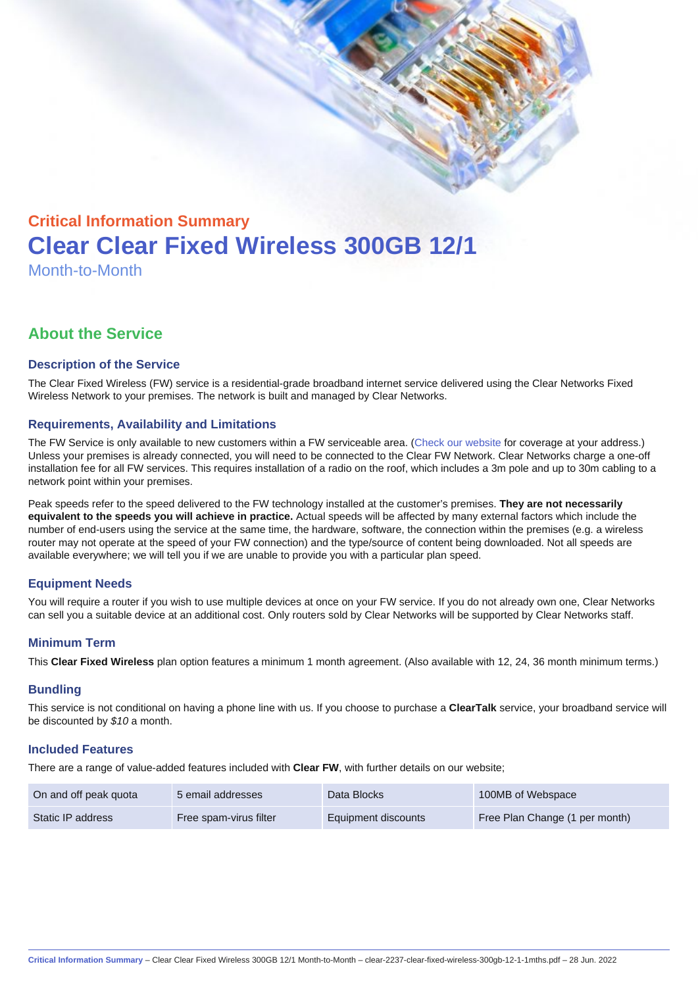# Critical Information Summary Clear Clear Fixed Wireless 300GB 12/1 Month-to-Month

# About the Service

#### Description of the Service

The Clear Fixed Wireless (FW) service is a residential-grade broadband internet service delivered using the Clear Networks Fixed Wireless Network to your premises. The network is built and managed by Clear Networks.

#### Requirements, Availability and Limitations

The FW Service is only available to new customers within a FW serviceable area. ([Check our website](https://www.clear.com.au/residential/fixed-wireless/) for coverage at your address.) Unless your premises is already connected, you will need to be connected to the Clear FW Network. Clear Networks charge a one-off installation fee for all FW services. This requires installation of a radio on the roof, which includes a 3m pole and up to 30m cabling to a network point within your premises.

Peak speeds refer to the speed delivered to the FW technology installed at the customer's premises. They are not necessarily equivalent to the speeds you will achieve in practice. Actual speeds will be affected by many external factors which include the number of end-users using the service at the same time, the hardware, software, the connection within the premises (e.g. a wireless router may not operate at the speed of your FW connection) and the type/source of content being downloaded. Not all speeds are available everywhere; we will tell you if we are unable to provide you with a particular plan speed.

# Equipment Needs

You will require a router if you wish to use multiple devices at once on your FW service. If you do not already own one, Clear Networks can sell you a suitable device at an additional cost. Only routers sold by Clear Networks will be supported by Clear Networks staff.

#### Minimum Term

This Clear Fixed Wireless plan option features a minimum 1 month agreement. (Also available with 12, 24, 36 month minimum terms.)

#### **Bundling**

This service is not conditional on having a phone line with us. If you choose to purchase a ClearTalk service, your broadband service will be discounted by \$10 a month.

#### Included Features

There are a range of value-added features included with Clear FW, with further details on our website;

| On and off peak quota | 5 email addresses      | Data Blocks         | 100MB of Webspace              |
|-----------------------|------------------------|---------------------|--------------------------------|
| Static IP address     | Free spam-virus filter | Equipment discounts | Free Plan Change (1 per month) |